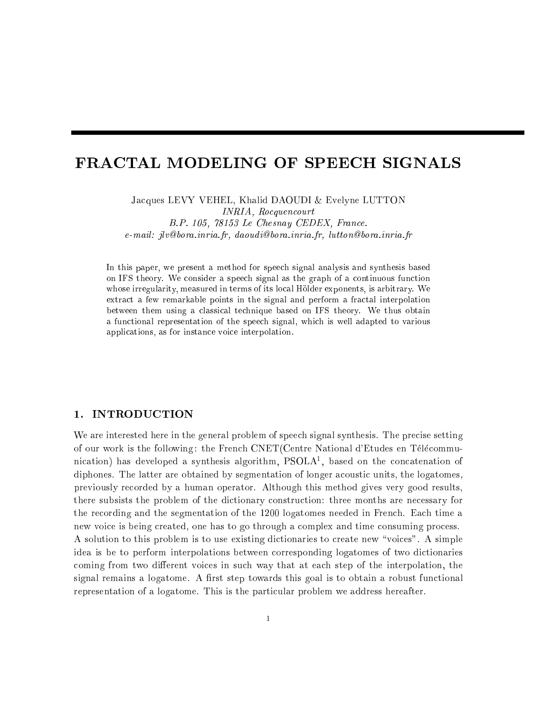# FRACTAL MODELING OF SPEECH SIGNALS

Jacques LEVY VEHEL, Khalid DAOUDI & Evelyne LUTTON INRIA, Rocquencourt B.P. 105, 78153 Le Chesnay CEDEX, France. e-mail: jlv@bora.inria.fr, daoudi@bora.inria.fr, lutton@bora.inria.fr

In this paper, we present a method for speech signal analysis and synthesis based on IFS theory. We consider a speech signal as the graph of a continuous function whose irregularity, measured in terms of its local Holder exponents, is arbitrary. We extract a few remarkable points in the signal and perform a fractal interpolation between them using a classical technique based on IFS theory. We thus obtain a functional representation of the speech signal, which is well adapted to various applications, as for instance voice interpolation.

# 1. INTRODUCTION

We are interested here in the general problem of speech signal synthesis. The precise setting of our work is the following : the French CNET(Centre National d'Etudes en Telecommunication) has developed a synthesis algorithm, PSOLA1 , based on the concatenation of diphones. The latter are obtained by segmentation of longer acoustic units, the logatomes, previously recorded by a human operator. Although this method gives very good results, there subsists the problem of the dictionary construction: three months are necessary for the recording and the segmentation of the 1200 logatomes needed in French. Each time a new voice is being created, one has to go through a complex and time consuming process. A solution to this problem is to use existing dictionaries to create new \voices". A simple idea is be to perform interpolations between corresponding logatomes of two dictionaries coming from two different voices in such way that at each step of the interpolation, the signal remains a logatome. A first step towards this goal is to obtain a robust functional representation of a logatome. This is the particular problem we address hereafter.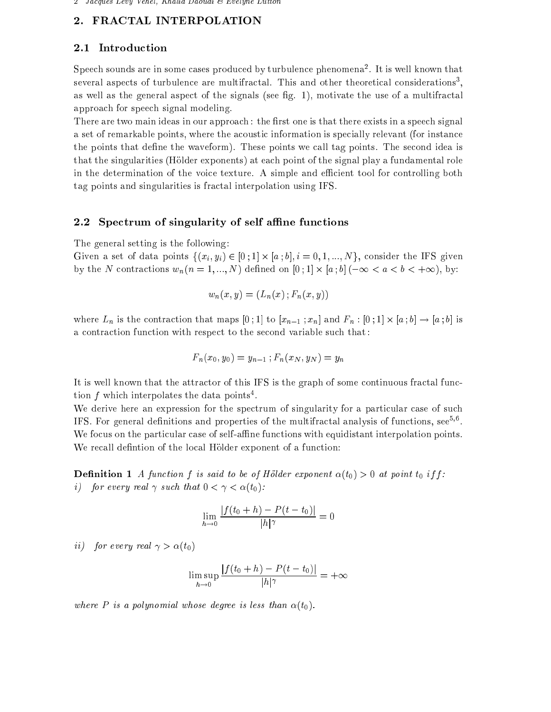#### $2.$ FRACTAL INTERPOLATION

# 2.1 Introduction

Speech sounds are in some cases produced by turbulence phenomena<sup>2</sup> . It is well known that several aspects of turbulence are multifractal. This and other theoretical considerations , as well as the general aspect of the signals (see fig. 1), motivate the use of a multifractal approach for speech signal modeling.

There are two main ideas in our approach: the first one is that there exists in a speech signal a set of remarkable points, where the acoustic information is specially relevant (for instance the points that define the waveform). These points we call tag points. The second idea is that the singularities (Holder exponents) at each point of the signal play a fundamental role in the determination of the voice texture. A simple and efficient tool for controlling both tag points and singularities is fractal interpolation using IFS.

# 2.2 Spectrum of singularity of self affine functions

The general setting is the following:

 $\Box$  set of the IN (b)  $\partial^2U$   $\Box$  iii) 1]  $\Box$  iii) 2  $\Box$  1]  $\Box$  10; O consider the IN (b) 1  $\Box$  $\alpha$  , the N contractions will be a set of  $\alpha$  , and  $\alpha$  is the set of  $\alpha$  ; and  $\alpha$  is the set of  $\alpha$  , and

$$
w_n(x, y) = (L_n(x); F_n(x, y))
$$

where  $\mu$  is the contraction that maps  $\mu$  ;  $\mu$  is  $\mu$  ;  $\mu$  is  $\mu$  ;  $\mu$  ;  $\mu$  ;  $\mu$  ;  $\mu$  ;  $\mu$  ;  $\mu$  ;  $\mu$  ;  $\mu$  ;  $\mu$  ;  $\mu$  ;  $\mu$  ;  $\mu$  ;  $\mu$  ;  $\mu$  ;  $\mu$  ;  $\mu$  ;  $\mu$  ;  $\mu$  ;  $\mu$  ;  $\mu$  ;  $\mu$ a contraction function with respect to the second variable such that :

$$
F_n(x_0, y_0) = y_{n-1}; F_n(x_N, y_N) = y_n
$$

It is well known that the attractor of this IFS is the graph of some continuous fractal function f which interpolates the data points.

We derive here an expression for the spectrum of singularity for a particular case of such IF 5. For general definitions and properties of the multifractal analysis of functions, see  $\%$  . We focus on the particular case of self-affine functions with equidistant interpolation points. We recall defintion of the local Hölder exponent of a function:

Denition <sup>1</sup> A function f is said to be of Holder exponent (t0) > 0 at point t0 if f : *i*) for every real  $\gamma$  such that  $0 < \gamma < \alpha(t_0)$ :

$$
\lim_{h \to 0} \frac{|f(t_0 + h) - P(t - t_0)|}{|h|^\gamma} = 0
$$

ii) for every real  $\gamma > \alpha(t_0)$ 

$$
\limsup_{h \to 0} \frac{|f(t_0 + h) - P(t - t_0)|}{|h|^\gamma} = +\infty
$$

where P is a polynomial whose degree is less than  $\alpha(t_0)$ .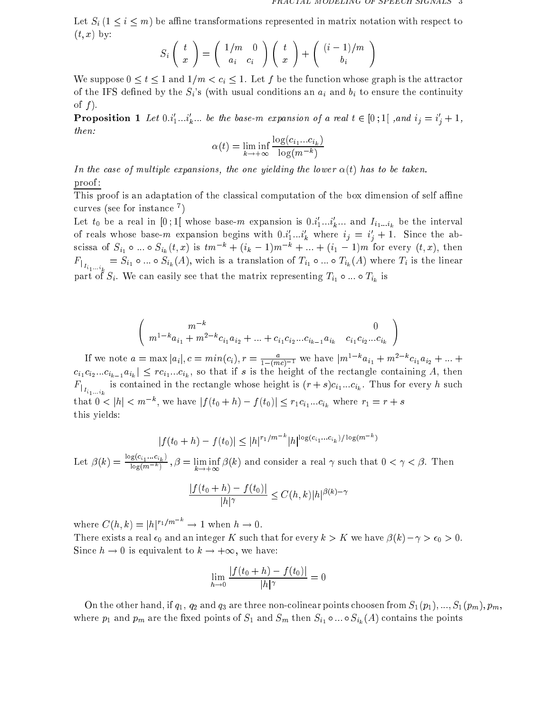Let  $S_i$  ( $1 \le i \le m$ ) be affine transformations represented in matrix notation with respect to  $(t, x)$  by:

$$
S_i\left(\begin{array}{c}t\\x\end{array}\right)=\left(\begin{array}{cc}1/m&0\\a_i&c_i\end{array}\right)\left(\begin{array}{c}t\\x\end{array}\right)+\left(\begin{array}{c}(i-1)/m\\b_i\end{array}\right)
$$

We suppose  $0 \le t \le 1$  and  $1/m < c_i \le 1$ . Let f be the function whose graph is the attractor of the IFS defined by the  $S_i$ 's (with usual conditions an  $a_i$  and  $b_i$  to ensure the continuity of  $f$ .

**Proposition 1** Let  $0:_{1}^{n}...i_{k}^{n}...$  be the base-m expansion by a real  $i \in [0,1]$ , and  $i_{j} = i_{j} + 1$ , then:

$$
\alpha(t) = \liminf_{k \to +\infty} \frac{\log(c_{i_1}...c_{i_k})}{\log(m^{-k})}
$$

In the case of multiple expansions, the one yielding the lower  $\alpha(t)$  has to be taken. proof :

This proof is an adaptation of the classical computation of the box dimension of self affine curves (see for instance <sup>7</sup> )

Let  $\iota_0$  be a real in [0; 1] whose base-m expansion is  $0.\iota_1...\iota_k...$  and  $I_{i_1...i_k}$  be the interval of reals whose base-m expansion begins with  $0 \cdot i_1 \ldots i_k$  where  $i_j = i_j + 1$ . Since the abscissa of  $S_{i_1} \circ ... \circ S_{i_k} (t, x)$  is  $tm^{-k} + (i_k - 1)m^{-k} + ... + (i_1 - 1)m$  for every  $(t, x)$ , then  $F_{i_1\ldots i_k}$  since  $\omega_{i_1}$  and  $\omega_{i_k}$  (--), we can also the linear  $\omega_{i_1}$  and  $\omega_{i_k}$  (--) where  $\omega_{i_k}$  is the linear  $\omega_{i_k}$ <sup>1</sup>:::ik part of Si . We can easily see that the matrix representing  $\mathbb{F}_1$  :::  $\mathbb{F}_k$  is

$$
\begin{pmatrix} m^{-k} & 0 \ m^{1-k}a_{i_1} + m^{2-k}c_{i_1}a_{i_2} + \dots + c_{i_1}c_{i_2}...c_{i_{k-1}}a_{i_k} & c_{i_1}c_{i_2}...c_{i_k} \end{pmatrix}
$$

If we note  $a = \max |a_i|, c = \min(c_i), r = \frac{1}{1 - (mc)^{-1}}$  we have  $|m^{2} - a_{i_1} + m^{2} - c_{i_1}a_{i_2} + ...$  $c_i$  is the first of the rectangle contains  $c_i$  and  $c_i$  is the rectangle containing  $c_i$  and  $c_i$  $\Gamma_{i_1...i_k}$  is contained in the receiving contains in given in  $(r+1)$  ,  $\Gamma_{i_1...i_k}$  , which is a rectangle in that  $0 < |h| < m$ ; we have  $|f(t_0 + h) - f(t_0)| \le r_1 c_{i_1} ... c_{i_k}$  where  $r_1 = r + s$ this yields:

$$
|f(t_0 + h) - f(t_0)| \le |h|^{r_1/m^{-k}} |h|^{\log(c_{i_1}...c_{i_k})/\log(m^{-k})}
$$

Let  $\beta(k) = \frac{-8(-k_1-k_1)k_2}{1-k_1-k_2}$  $\log(m^{-k})$  ,  $\beta$  is  $k \to +\infty$  (i) and consider a real point of the consider  $k \to +\infty$ 

$$
\frac{|f(t_0+h)-f(t_0)|}{|h|^\gamma} \le C(h,k)|h|^{\beta(k)-\gamma}
$$

where  $C(h,k) = |h|^{r_1/m} \longrightarrow 1$  when  $h \rightarrow 0$ . There exists a real of the such that for every complete that for the such that for  $\mathbb{P}\left(\mathbb{P}\right)$  ,  $\mathbb{P}\left(\mathbb{P}\right)$ Since  $h \to 0$  is equivalent to  $k \to +\infty$ , we have:

$$
\lim_{h \to 0} \frac{|f(t_0 + h) - f(t_0)|}{|h|^\gamma} = 0
$$

 $\sim$  the other hand, if  $q1;$   $q2$  and  $q0$  are three non-collinear points choosen from S1(p1);  $\sim$  1(pm); pm); where  $p_1$  and  $p_m$  are the theorem points of  $\mathcal{L}_1$  and  $\mathcal{L}_m$  and  $\mathcal{L}_m$   $\{l\}$  and  $\mathcal{L}_k$  (A) contains the points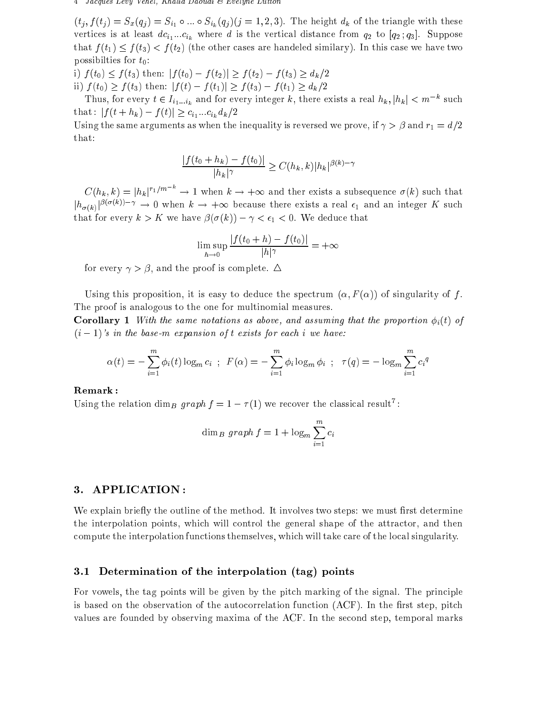#### 4 Jacques Levy Vehel, Khalid Daoudi & Evelyne Lutton

 $(t_j, f(t_j) = S_x(q_j) = S_{i_1} \circ ... \circ S_{i_k}(q_j)$  (j = 1, 2, 3). The height  $d_k$  of the triangle with these  $v_1$  where distance from  $v_1$  where distance from  $q_2$ . Suppose the vertical distance from  $q_2$ . that  $f(t_1) \leq f(t_3) < f(t_2)$  (the other cases are handeled similary). In this case we have two possibilties for  $t_0$ :

i)  $f(t_0) \le f(t_3)$  then:  $|f(t_0) - f(t_2)| \ge f(t_2) - f(t_3) \ge d_k/2$ ii)  $f(t_0) \ge f(t_3)$  then:  $|f(t) - f(t_1)| \ge f(t_3) - f(t_1) \ge d_k/2$ 

Thus, for every  $t \in I_{i_1...i_k}$  and for every integer k, there exists a real  $h_k, |h_k| < m$  such  $\cdots$ : jj ( $\cdots$  h  $\cdots$ )  $\cdots$  j ( $\cdots$ )  $\cdots$  is  $\cdots$  if  $\cdots$ 

, when the same arguments as when the inequality is reversed we prove the integration  $\mathcal{L} = \{1, \ldots, 1\}$ that:

$$
\frac{|f(t_0 + h_k) - f(t_0)|}{|h_k|^\gamma} \ge C(h_k, k) |h_k|^{\beta(k) - \gamma}
$$

 $C(h_k, k) = |h_k|^{r_1/m}$   $\rightarrow$  1 when  $k \rightarrow +\infty$  and ther exists a subsequence  $\sigma(k)$  such that  $\lvert h_{\sigma(k)}\rvert^{r_{k+1}(k+1)}\rvert \to 0$  when  $\kappa\to+\infty$  because there exists a real  $\epsilon_1$  and an integer  $K$  such that for every distribution is the set of  $\vert \theta \vert$  (fig. ). In the set of the set of the set of the set of the set of the set of the set of the set of the set of the set of the set of the set of the set of the set of the

$$
\limsup_{h \to 0} \frac{|f(t_0 + h) - f(t_0)|}{|h|^\gamma} = +\infty
$$

for every  $\gamma > \beta$ , and the proof is complete.  $\Delta$ 

Using this proposition, it is easy to deduce the spectrum  $(\alpha, F(\alpha))$  of singularity of f. The proof is analogous to the one for multinomial measures.

Corollary <sup>1</sup> With the same notations as above, and assuming that the proportion i(t) of  $(i - 1)$ 's in the base-m expansion of t exists for each i we have:

$$
\alpha(t) = -\sum_{i=1}^{m} \phi_i(t) \log_m c_i \; ; \; F(\alpha) = -\sum_{i=1}^{m} \phi_i \log_m \phi_i \; ; \; \tau(q) = -\log_m \sum_{i=1}^{m} c_i^q
$$

Using the relation dim<sub>B</sub> graph  $f = 1 - 7(1)$  we recover the classical result  $\ddot{\phantom{a}}$ :

$$
\dim_B \, graph \, f = 1 + \log_m \sum_{i=1}^m c_i
$$

# 3. APPLICATION :

We explain briefly the outline of the method. It involves two steps: we must first determine the interpolation points, which will control the general shape of the attractor, and then compute the interpolation functions themselves, which will take care of the local singularity.

### 3.1 Determination of the interpolation (tag) points

For vowels, the tag points will be given by the pitch marking of the signal. The principle is based on the observation of the autocorrelation function  $(ACF)$ . In the first step, pitch values are founded by observing maxima of the ACF. In the second step, temporal marks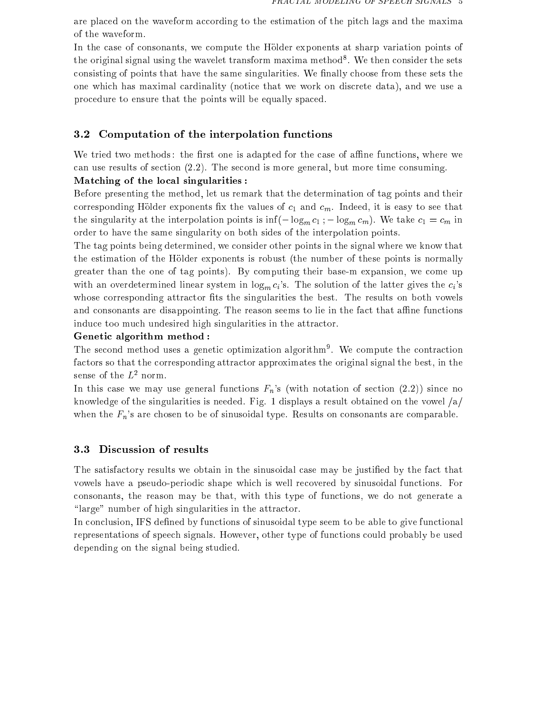are placed on the waveform according to the estimation of the pitch lags and the maxima of the waveform.

In the case of consonants, we compute the Holder exponents at sharp variation points of the original signal using the wavelet transform maxima method". We then consider the sets consisting of points that have the same singularities. We finally choose from these sets the one which has maximal cardinality (notice that we work on discrete data), and we use a procedure to ensure that the points will be equally spaced.

# 3.2 Computation of the interpolation functions

We tried two methods: the first one is adapted for the case of affine functions, where we can use results of section (2:2). The second is more general, but more time consuming.

# Matching of the local singularities :

Before presenting the method, let us remark that the determination of tag points and their corresponding to the values of corresponding to the values of corresponding  $\mu$  and corresponding to see that is easy to see that is easy to see that is easy to see that is easy to see that is easy to see that is easy to the singularity at the interpolation points is  $\inf(-\log_m c_1; -\log_m c_m)$ . We take  $c_1 = c_m$  in order to have the same singularity on both sides of the interpolation points.

The tag points being determined, we consider other points in the signal where we know that the estimation of the Holder exponents is robust (the number of these points is normally greater than the one of tag points). By computing their base-m expansion, we come up with an overdetermined linear system in  $\log_m c_i$ 's. The solution of the latter gives the  $c_i$ 's whose corresponding attractor fits the singularities the best. The results on both vowels and consonants are disappointing. The reason seems to lie in the fact that affine functions induce too much undesired high singularities in the attractor.

# Genetic algorithm method :

The second method uses a genetic optimization algorithm<sup>9</sup> . We compute the contraction factors so that the corresponding attractor approximates the original signal the best, in the sense of the  $L^2$  norm.

In this case we may use general functions  $F_n$ 's (with notation of section (2.2)) since no knowledge of the singularities is needed. Fig. 1 displays a result obtained on the vowel  $\langle a \rangle$ when the  $F_n$ 's are chosen to be of sinusoidal type. Results on consonants are comparable.

# 3.3 Discussion of results

The satisfactory results we obtain in the sinusoidal case may be justied by the fact that vowels have a pseudo-periodic shape which is well recovered by sinusoidal functions. For consonants, the reason may be that, with this type of functions, we do not generate a "large" number of high singularities in the attractor.

In conclusion, IFS defined by functions of sinusoidal type seem to be able to give functional representations of speech signals. However, other type of functions could probably be used depending on the signal being studied.